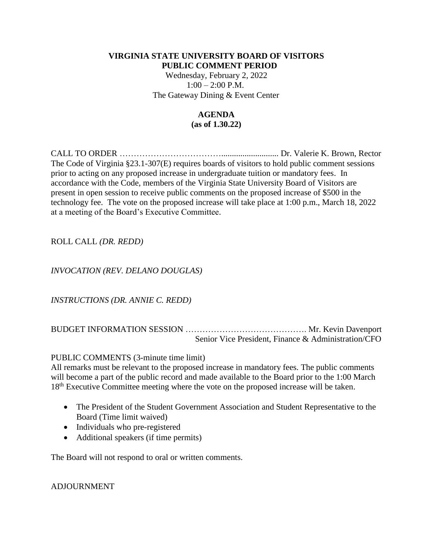## **VIRGINIA STATE UNIVERSITY BOARD OF VISITORS PUBLIC COMMENT PERIOD**

Wednesday, February 2, 2022  $1:00 - 2:00$  P.M. The Gateway Dining & Event Center

## **AGENDA (as of 1.30.22)**

CALL TO ORDER ………………………………........................... Dr. Valerie K. Brown, Rector The Code of Virginia §23.1-307(E) requires boards of visitors to hold public comment sessions prior to acting on any proposed increase in undergraduate tuition or mandatory fees. In accordance with the Code, members of the Virginia State University Board of Visitors are present in open session to receive public comments on the proposed increase of \$500 in the technology fee. The vote on the proposed increase will take place at 1:00 p.m., March 18, 2022 at a meeting of the Board's Executive Committee.

# ROLL CALL *(DR. REDD)*

# *INVOCATION (REV. DELANO DOUGLAS)*

*INSTRUCTIONS (DR. ANNIE C. REDD)*

BUDGET INFORMATION SESSION ……………………………………. Mr. Kevin Davenport Senior Vice President, Finance & Administration/CFO

## PUBLIC COMMENTS (3-minute time limit)

All remarks must be relevant to the proposed increase in mandatory fees. The public comments will become a part of the public record and made available to the Board prior to the 1:00 March 18<sup>th</sup> Executive Committee meeting where the vote on the proposed increase will be taken.

- The President of the Student Government Association and Student Representative to the Board (Time limit waived)
- Individuals who pre-registered
- Additional speakers (if time permits)

The Board will not respond to oral or written comments.

## ADJOURNMENT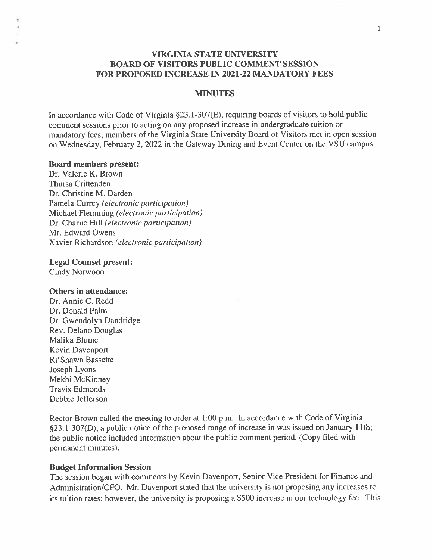## **VIRGINIA STATE UNIVERSITY BOARD OF VISITORS PUBLIC COMMENT SESSION** FOR PROPOSED INCREASE IN 2021-22 MANDATORY FEES

### **MINUTES**

In accordance with Code of Virginia §23.1-307(E), requiring boards of visitors to hold public comment sessions prior to acting on any proposed increase in undergraduate tuition or mandatory fees, members of the Virginia State University Board of Visitors met in open session on Wednesday, February 2, 2022 in the Gateway Dining and Event Center on the VSU campus.

#### **Board members present:**

Dr. Valerie K. Brown Thursa Crittenden Dr. Christine M. Darden Pamela Currey (electronic participation) Michael Flemming (electronic participation) Dr. Charlie Hill (electronic participation) Mr. Edward Owens Xavier Richardson (electronic participation)

#### **Legal Counsel present:**

**Cindy Norwood** 

### Others in attendance:

Dr. Annie C. Redd Dr. Donald Palm Dr. Gwendolyn Dandridge Rev. Delano Douglas Malika Blume Kevin Davenport Ri'Shawn Bassette Joseph Lyons Mekhi McKinney **Travis Edmonds** Debbie Jefferson

Rector Brown called the meeting to order at 1:00 p.m. In accordance with Code of Virginia §23.1-307(D), a public notice of the proposed range of increase in was issued on January 11th; the public notice included information about the public comment period. (Copy filed with permanent minutes).

#### **Budget Information Session**

The session began with comments by Kevin Davenport, Senior Vice President for Finance and Administration/CFO. Mr. Davenport stated that the university is not proposing any increases to its tuition rates; however, the university is proposing a \$500 increase in our technology fee. This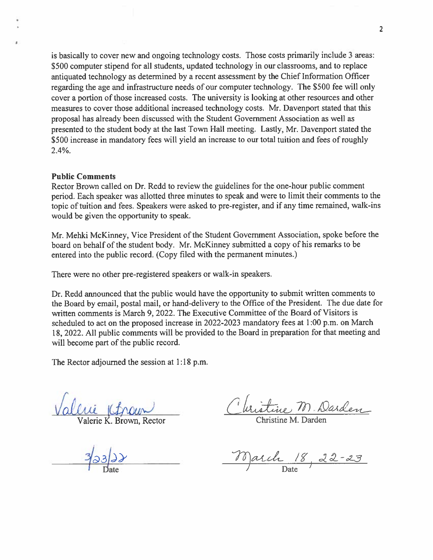is basically to cover new and ongoing technology costs. Those costs primarily include 3 areas: \$500 computer stipend for all students, updated technology in our classrooms, and to replace antiquated technology as determined by a recent assessment by the Chief Information Officer regarding the age and infrastructure needs of our computer technology. The \$500 fee will only cover a portion of those increased costs. The university is looking at other resources and other measures to cover those additional increased technology costs. Mr. Davenport stated that this proposal has already been discussed with the Student Government Association as well as presented to the student body at the last Town Hall meeting. Lastly, Mr. Davenport stated the \$500 increase in mandatory fees will yield an increase to our total tuition and fees of roughly  $2.4\%$ .

### **Public Comments**

Rector Brown called on Dr. Redd to review the guidelines for the one-hour public comment period. Each speaker was allotted three minutes to speak and were to limit their comments to the topic of tuition and fees. Speakers were asked to pre-register, and if any time remained, walk-ins would be given the opportunity to speak.

Mr. Mehki McKinney, Vice President of the Student Government Association, spoke before the board on behalf of the student body. Mr. McKinney submitted a copy of his remarks to be entered into the public record. (Copy filed with the permanent minutes.)

There were no other pre-registered speakers or walk-in speakers.

Dr. Redd announced that the public would have the opportunity to submit written comments to the Board by email, postal mail, or hand-delivery to the Office of the President. The due date for written comments is March 9, 2022. The Executive Committee of the Board of Visitors is scheduled to act on the proposed increase in 2022-2023 mandatory fees at 1:00 p.m. on March 18, 2022. All public comments will be provided to the Board in preparation for that meeting and will become part of the public record.

The Rector adjourned the session at 1:18 p.m.

Stine M. Darden

March 18, 22-23